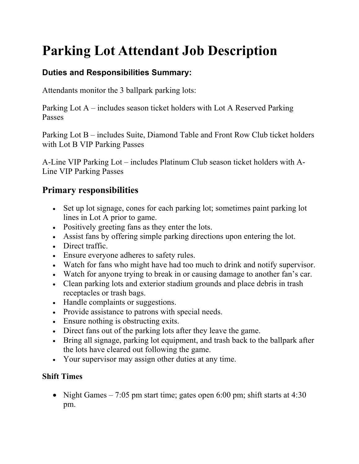## **Parking Lot Attendant Job Description**

## **Duties and Responsibilities Summary:**

Attendants monitor the 3 ballpark parking lots:

Parking Lot A – includes season ticket holders with Lot A Reserved Parking Passes

Parking Lot B – includes Suite, Diamond Table and Front Row Club ticket holders with Lot B VIP Parking Passes

A-Line VIP Parking Lot – includes Platinum Club season ticket holders with A-Line VIP Parking Passes

## **Primary responsibilities**

- Set up lot signage, cones for each parking lot; sometimes paint parking lot lines in Lot A prior to game.
- Positively greeting fans as they enter the lots.
- Assist fans by offering simple parking directions upon entering the lot.
- Direct traffic.
- Ensure everyone adheres to safety rules.
- Watch for fans who might have had too much to drink and notify supervisor.
- Watch for anyone trying to break in or causing damage to another fan's car.
- Clean parking lots and exterior stadium grounds and place debris in trash receptacles or trash bags.
- Handle complaints or suggestions.
- Provide assistance to patrons with special needs.
- Ensure nothing is obstructing exits.
- Direct fans out of the parking lots after they leave the game.
- Bring all signage, parking lot equipment, and trash back to the ballpark after the lots have cleared out following the game.
- Your supervisor may assign other duties at any time.

## **Shift Times**

• Night Games  $-7:05$  pm start time; gates open 6:00 pm; shift starts at 4:30 pm.